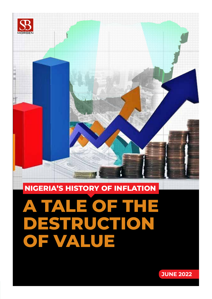

# **A TALE OF THE DESTRUCTION OF VALUE**

#### **NIGERIA'S HISTORY OF INFLATION**

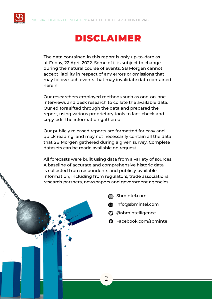

## DISCLAIMER

The data contained in this report is only up-to-date as at Friday, 22 April 2022. Some of it is subject to change during the natural course of events. SB Morgen cannot accept liability in respect of any errors or omissions that may follow such events that may invalidate data contained herein.

Our researchers employed methods such as one-on-one interviews and desk research to collate the available data. Our editors sifted through the data and prepared the report, using various proprietary tools to fact-check and copy-edit the information gathered.

Our publicly released reports are formatted for easy and quick reading, and may not necessarily contain all the data that SB Morgen gathered during a given survey. Complete datasets can be made available on request.

All forecasts were built using data from a variety of sources. A baseline of accurate and comprehensive historic data is collected from respondents and publicly-available information, including from regulators, trade associations, research partners, newspapers and government agencies.



- **info@sbmintel.com**
- **<sup>3</sup>** @sbmintelligence
- **O** Facebook.com/sbmintel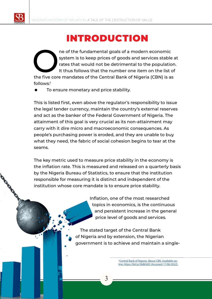

# INTRODUCTION

The of the fundamental goals of a modern economic<br>
system is to keep prices of goods and services stable<br>
trates that would not be detrimental to the population<br>
the five core mandates of the Central Bank of Nigeria (CBN) system is to keep prices of goods and services stable at rates that would not be detrimental to the population. It thus follows that the number one item on the list of follows:1

 To ensure monetary and price stability.

This is listed first, even above the regulator's responsibility to issue the legal tender currency, maintain the country's external reserves and act as the banker of the Federal Government of Nigeria. The attainment of this goal is very crucial as its non-attainment may carry with it dire micro and macroeconomic consequences. As people's purchasing power is eroded, and they are unable to buy what they need, the fabric of social cohesion begins to tear at the seams.

The key metric used to measure price stability in the economy is the inflation rate. This is measured and released on a quarterly basis by the Nigeria Bureau of Statistics, to ensure that the institution responsible for measuring it is distinct and independent of the institution whose core mandate is to ensure price stability.

> Inflation, one of the most researched topics in economics, is the continuous and persistent increase in the general price level of goods and services.

The stated target of the Central Bank of Nigeria and by extension, the Nigerian government is to achieve and maintain a single-

> <sup>1</sup>Central Bank of Nigeria. About CBN. Available online: https://bit.ly/3b8kS6D [Accessed 17/06/2022].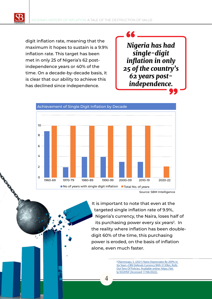digit inflation rate, meaning that the maximum it hopes to sustain is a 9.9% inflation rate. This target has been met in only 25 of Nigeria's 62 postindependence years or 40% of the time. On a decade-by-decade basis, it is clear that our ability to achieve this has declined since independence.





Source: SBM Intelligence

It is important to note that even at the targeted single inflation rate of 9.9%, Nigeria's currency, the Naira, loses half of its purchasing power every six years<sup>2</sup>. In the reality where inflation has been doubledigit 60% of the time, this purchasing power is eroded, on the basis of inflation alone, even much faster.

> <sup>2</sup>Olanrewaju, S. (2021) Naira Depreciates By 209% In Six Years •CBN Defends Currency With \$130bn, Rolls Out Tens Of Policies. Available online: https://bit. ly/3O2HfsF [Accessed 17/06/2022].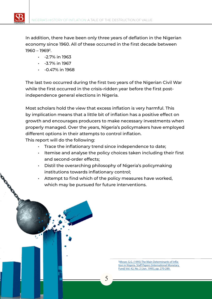

- $\cdot$  -2.7% in 1963
- $-3.7\%$  in 1967
- $\cdot$  -0.47% in 1968

The last two occurred during the first two years of the Nigerian Civil War while the first occurred in the crisis-ridden year before the first postindependence general elections in Nigeria.

Most scholars hold the view that excess inflation is very harmful. This by implication means that a little bit of inflation has a positive effect on growth and encourages producers to make necessary investments when properly managed. Over the years, Nigeria's policymakers have employed different options in their attempts to control inflation.

This report will do the following:

- Trace the inflationary trend since independence to date;
- Itemise and analyse the policy choices taken including their first and second-order effects;
- Distil the overarching philosophy of Nigeria's policymaking institutions towards inflationary control;
- Attempt to find which of the policy measures have worked, which may be pursued for future interventions.

3Moser, G.G. (1995) The Main Determinants of Inflation in Nigeria. Staff Papers (International Monetary Fund) Vol. 42, No. 2 (Jun. 1995), pp. 270-289.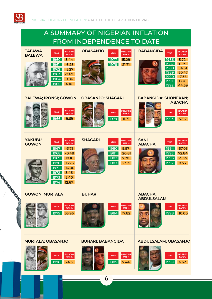$\overline{\mathcal{S}}$ 

e

#### A SUMMARY OF NIGERIAN INFLATION FROM INDEPENDENCE TO DATE **TAFAWA OBASANJO YEAR INFLATION BABANGIDA YEAR INFLATION BALEWA YEAR INFLATION RATE % RATE % RATE %** 1960 5.44 1977 15.09 1986 5.72 1987 11.29 1961 6.28 1978 21.71 1988 54.51 1962 5.27 1989 50.47 1963 -2.69 1990 7.36 1964 0.86 1991 13.01 1965 4.10 1992 44.59**BALEWA; IRONSI; GOWON OBASANJO; SHAGARI BABANGIDA; SHONEKAN; ABACHA YEAR INFLATION YEAR INFLATION YEAR INFLATION RATE % RATE % RATE %** 1966 9.69 1979 11.71 1993 57.17 **YAKUBU SHAGARI YEAR INFLATION SANI GOWON YEAR INFLATION ABACHA PRACE INFLATION RATE % RATE % RATE %** 1967 -3.73 1980 9.97 1994 57.03 1968 -0.48 1981 20.81 1995 72.84 1969 10.16 1982 7.70 1996 29.27 1970 13.76 1983 23.21 1997 8.53 1971 16.00 1972 3.46 **Controller Controller Controller Controller Controller Controller Controller Controller Controller Control** 1973 5.40 1974 12.67 **GOWON; MURTALA BUHARI ABACHA; ABDULSALAM YEAR INFLATION YEAR INFLATION YEAR INFLATION RATE % RATE % RATE %** 1975 33.96 1984 17.82 1998 10.00 **MURTALA; OBASANJO BUHARI; BABANGIDA ABDULSALAM; OBASANJO YEAR INFLATION YEAR INFLATION YEAR INFLATION RATE % RATE % RATE %** 1976 24.3 1985 7.44 1999 6.62 6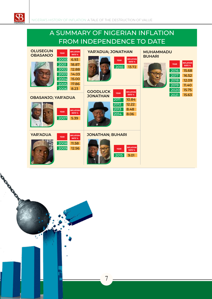

**Roadway** 

#### A SUMMARY OF NIGERIAN INFLATION FROM INDEPENDENCE TO DATE

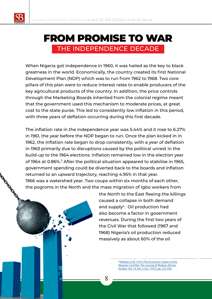#### FROM PROMISE TO WAR THE INDEPENDENCE DECADE

When Nigeria got independence in 1960, it was hailed as the key to black greatness in the world. Economically, the country created its first National Development Plan (NDP) which was to run from 1962 to 1968. Two core pillars of this plan were to reduce interest rates to enable producers of the key agricultural products of the country. In addition, the price controls through the Marketing Boards inherited from the colonial regime meant that the government used this mechanism to moderate prices, at great cost to the state purse. This led to consistently low inflation in this period, with three years of deflation occurring during this first decade.

The inflation rate in the independence year was 5.44% and it rose to 6.27% in 1961, the year before the NDP began to run. Once the plan kicked in in 1962, the inflation rate began to drop consistently, with a year of deflation in 1963 primarily due to disruptions caused by the political unrest in the build-up to the 1964 elections. Inflation remained low in the election year of 1964 at 0.86%.<sup>3</sup> After the political situation appeared to stabilise in 1965. government spending could be diverted back to the boards and inflation returned to an upward trajectory, reaching 4.95% in that year. 1966 was a watershed year. Two coups within six months of each other, the pogroms in the North and the mass migration of Igbo workers from

> the North to the East fleeing the killings caused a collapse in both demand and supply<sup>4</sup>. Oil production had also become a factor in government revenues. During the first two years of the Civil War that followed (1967 and 1968) Nigeria's oil production reduced massively as about 60% of the oil

> > 4.Nafziger, E.W. (1972) The Economic Impact of the Nigerian Civil War. The Journal of Modern African Studies. Vol. 10, No. 2 (Jul., 1972), pp. 223-245.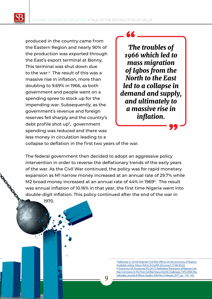produced in the country came from the Eastern Region and nearly 90% of the production was exported through the East's export terminal at Bonny. This terminal was shut down due to the war.4 The result of this was a massive rise in inflation, more than doubling to 9.69% in 1966, as both government and people went on a spending spree to stock up for the impending war. Subsequently, as the government's revenue and foreign reserves fell sharply and the country's debt profile shot up<sup>5</sup>, government spending was reduced and there was less money in circulation leading to a

*The troubles of 1966 which led to mass migration of Igbos from the North to the East led to a collapse in demand and supply, and ultimately to a massive rise in inflation.*

collapse to deflation in the first two years of the war.

The federal government then decided to adopt an aggressive policy intervention in order to reverse the deflationary trends of the early years of the war. As the Civil War continued, the policy was for rapid monetary expansion as M1 narrow money increased at an annual rate of 29.7% while M2 broad money increased at an annual rate of 44% in 1969<sup>6</sup>. The result was annual inflation of 10.16% in that year, the first time Nigeria went into double-digit inflation. This policy continued after the end of the war in

**Q** 

1970.

5.Ademola, D. (2018) Nigerian Civil War effects on the economy of Nigeria. Available online: https://bit.ly/3n3aJKR. [Accessed 17/06/2022]. 6. Onumonu, U.P., Anutanwa, P.O. (2017). Rethinking The Impact of Nigerian Civil War: Commerce In The Post Civil War Nnewi And Its Challenges, 1970-2000. Mgbakoigba, Journal of African Studies. Vol.6 No.2. February 2017. pp - 154 - 165.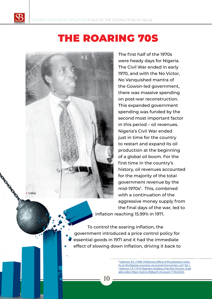

# THE ROARING 70S



The first half of the 1970s were heady days for Nigeria. The Civil War ended in early 1970, and with the No Victor, No Vanquished mantra of the Gowon-led government, there was massive spending on post-war reconstruction. This expanded government spending was funded by the second most important factor in this period – oil revenues. Nigeria's Civil War ended just in time for the country to restart and expand its oil production at the beginning of a global oil boom. For the first time in the country's history, oil revenues accounted for the majority of the total government revenue by the mid-1970s7 . This, combined with a continuation of the aggressive money supply from the final days of the war, led to inflation reaching 15.99% in 1971.

To control the soaring inflation, the government introduced a price control policy for essential goods in 1971 and it had the immediate effect of slowing down inflation, driving it back to

10

<sup>2</sup>Suleiman, B.S. (1998). Inflationary effects of the petroleum industry on the Nigerian economy. Jos journal of economics, vol.1 No 1. 8 Johnson, T.A. (1974) Nigerians Awaiting a Pay-Rise Decision. Available online: https://nyti.ms/3b8qxJV. [Accessed 17/06/2022].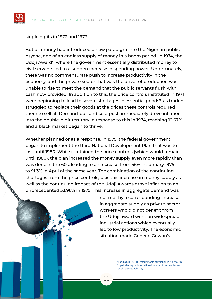single digits in 1972 and 1973.

But oil money had introduced a new paradigm into the Nigerian public psyche, one of an endless supply of money in a boom period. In 1974, the Udoji Award<sup>8</sup> where the government essentially distributed money to civil servants led to a sudden increase in spending power. Unfortunately, there was no commensurate push to increase productivity in the economy, and the private sector that was the driver of production was unable to rise to meet the demand that the public servants flush with cash now provided. In addition to this, the price controls instituted in 1971 were beginning to lead to severe shortages in essential goods<sup>9</sup> as traders struggled to replace their goods at the prices these controls required them to sell at. Demand-pull and cost-push immediately drove inflation into the double-digit territory in response to this in 1974, reaching 12.67% and a black market began to thrive.

Whether planned or as a response, in 1975, the federal government began to implement the third National Development Plan that was to last until 1980. While it retained the price controls (which would remain until 1980), the plan increased the money supply even more rapidly than was done in the 60s, leading to an increase from 56% in January 1975 to 91.3% in April of the same year. The combination of the continuing shortages from the price controls, plus this increase in money supply as well as the continuing impact of the Udoji Awards drove inflation to an unprecedented 33.96% in 1975. This increase in aggregate demand was

11

not met by a corresponding increase in aggregate supply as private-sector workers who did not benefit from the Udoji award went on widespread industrial actions which eventually led to low productivity. The economic situation made General Gowon's

> 10.Fatukasi, B. (2011). Determinants of inflation in Nigeria: An Empirical Analysis (International Journal of Humanities and Social Sciences Vol1 (18).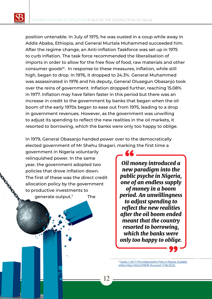position untenable. In July of 1975, he was ousted in a coup while away in Addis Ababa, Ethiopia, and General Murtala Muhammed succeeded him. After the regime change, an Anti-inflation Taskforce was set up in 1975 to curb inflation. The task force recommended the liberalisation of imports in order to allow for the free flow of food, raw materials and other consumer goods<sup>10</sup>. In response to these measures, inflation, while still high, began to drop. In 1976, it dropped to 24.3%. General Muhammed was assassinated in 1976 and his deputy, General Olusegun Obasanjo took over the reins of government. Inflation dropped further, reaching 15.08% in 1977. Inflation may have fallen faster in this period but there was an increase in credit to the government by banks that began when the oil boom of the early 1970s began to ease out from 1975, leading to a drop in government revenues. However, as the government was unwilling to adjust its spending to reflect the new realities in the oil markets, it resorted to borrowing, which the banks were only too happy to oblige.

In 1979, General Obasanjo handed power over to the democratically elected government of Mr Shehu Shagari, marking the first time a

government in Nigeria voluntarily relinquished power. In the same year, the government adopted two policies that drove inflation down. The first of these was the direct credit allocation policy by the government to productive investments to generate output.7 The

*Oil money introduced a new paradigm into the public psyche in Nigeria, one of an endless supply of money in a boom period. An unwillingness to adjust spending to reflect the new realities after the oil boom ended meant that the country resorted to borrowing, which the banks were only too happy to oblige.*

11. Saadu, I. (2017) The Indigenization Policy in Nigeria. Available online: https://bit.ly/3OkfUlf. [Accessed 17/06/2022].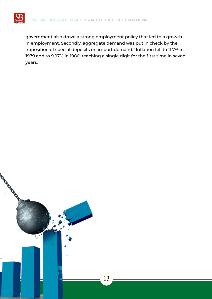

government also drove a strong employment policy that led to a growth in employment. Secondly, aggregate demand was put in check by the imposition of special deposits on import demand.7 Inflation fell to 11.7% in 1979 and to 9.97% in 1980, reaching a single digit for the first time in seven years.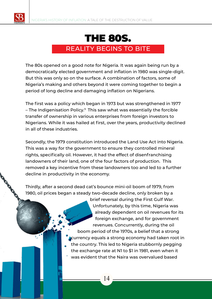

### THE 80S. REALITY BEGINS TO BITE

The 80s opened on a good note for Nigeria. It was again being run by a democratically elected government and inflation in 1980 was single-digit. But this was only so on the surface. A combination of factors, some of Nigeria's making and others beyond it were coming together to begin a period of long decline and damaging inflation on Nigerians.

The first was a policy which began in 1973 but was strengthened in 1977  $-$  The Indigenisation Policy.<sup>11</sup> This saw what was essentially the forcible transfer of ownership in various enterprises from foreign investors to Nigerians. While it was hailed at first, over the years, productivity declined in all of these industries.

Secondly, the 1979 constitution introduced the Land Use Act into Nigeria. This was a way for the government to ensure they controlled mineral rights, specifically oil. However, it had the effect of disenfranchising landowners of their land, one of the four factors of production. This removed a key incentive from these landowners too and led to a further decline in productivity in the economy.

Thirdly, after a second dead cat's bounce mini-oil boom of 1979, from 1980, oil prices began a steady two-decade decline, only broken by a

> brief reversal during the First Gulf War. Unfortunately, by this time, Nigeria was already dependent on oil revenues for its foreign exchange, and for government revenues. Concurrently, during the oil boom period of the 1970s, a belief that a strong currency equals a strong economy had taken root in the country. This led to Nigeria stubbornly pegging the exchange rate at N1 to \$1 in 1981, even when it was evident that the Naira was overvalued based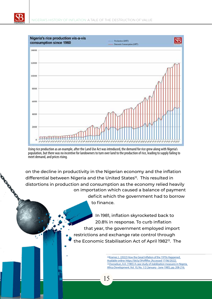

**CANALLINE** 



Using rice production as an example, after the Land Use Act was introduced, the demand for rice grew along with Nigeria's population, but there was no incentive for landowners to turn over land to the production of rice, leading to supply failing to meet demand, and prices rising.

on the decline in productivity in the Nigerian economy and the inflation differential between Nigeria and the United States<sup>12</sup>. This resulted in distortions in production and consumption as the economy relied heavily on importation which caused a balance of payment deficit which the government had to borrow to finance.

15

In 1981, inflation skyrocketed back to 20.8% in response. To curb inflation that year, the government employed import restrictions and exchange rate control through the Economic Stabilisation Act of April 1982<sup>13</sup>. The

> 12.Kramer, L. (2022) How the Great Inflation of the 1970s Happened. Available online: https://bit.ly/3HvfRRw. [Accessed 17/06/2022]. 13.Owosekun, A.A. (1985) A case study of stabilization measures in Nigeria. Africa Development. Vol. 10, No. 1/2 (January - June 1985), pp. 208-216.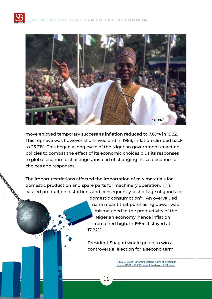

move enjoyed temporary success as inflation reduced to 7.69% in 1982. This reprieve was however short-lived and in 1983, inflation climbed back to 23.21%. This began a long cycle of the Nigerian government enacting policies to combat the effect of its economic choices plus its responses to global economic challenges, instead of changing its said economic choices and responses.

The import restrictions affected the importation of raw materials for domestic production and spare parts for machinery operation. This caused production distortions and consequently, a shortage of goods for

> domestic consumption<sup>14</sup>. An overvalued naira meant that purchasing power was mismatched to the productivity of the Nigerian economy, hence inflation remained high. In 1984, it stayed at 17.82%.

President Shagari would go on to win a controversial election for a second term

> 14. Itua, G. (2000) "Structural Determinants of Inflation in Nigeria (1981 – 1998)". Unpublished work, ABU, Zaria.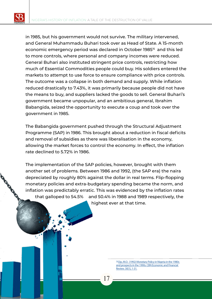in 1985, but his government would not survive. The military intervened, and General Muhammadu Buhari took over as Head of State. A 15-month economic emergency period was declared in October 1985<sup>15</sup> and this led to more controls, where personal and company incomes were reduced. General Buhari also instituted stringent price controls, restricting how much of Essential Commodities people could buy. His soldiers entered the markets to attempt to use force to ensure compliance with price controls. The outcome was a collapse in both demand and supply. While inflation reduced drastically to 7.43%, it was primarily because people did not have the means to buy, and suppliers lacked the goods to sell. General Buhari's government became unpopular, and an ambitious general, Ibrahim Babangida, seized the opportunity to execute a coup and took over the government in 1985.

The Babangida government pushed through the Structural Adjustment Programme (SAP) in 1986. This brought about a reduction in fiscal deficits and removal of subsidies as there was liberalisation in the economy, allowing the market forces to control the economy. In effect, the inflation rate declined to 5.72% in 1986.

The implementation of the SAP policies, however, brought with them another set of problems. Between 1986 and 1992, (the SAP era) the naira depreciated by roughly 80% against the dollar in real terms. Flip-flopping monetary policies and extra-budgetary spending became the norm, and inflation was predictably erratic. This was evidenced by the inflation rates that galloped to 54.5% and 50.4% in 1988 and 1989 respectively, the highest ever at that time.

> 15.<sub>Ojo</sub>, M.O. (1992) Monetary Policy in Nigeria in the 1980s and prospects in the 1990s. CBN Economic and Financial Review. 30(1), 1-31.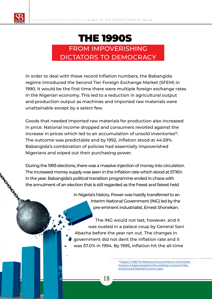

### THE 1990S

#### FROM IMPOVERISHING DICTATORS TO DEMOCRACY

In order to deal with these record inflation numbers, the Babangida regime introduced the Second Tier Foreign Exchange Market (SFEM) in 1990. It would be the first time there were multiple foreign exchange rates in the Nigerian economy. This led to a reduction in agricultural output and production output as machines and imported raw materials were unattainable except by a select few.

Goods that needed imported raw materials for production also increased in price. National income dropped and consumers revolted against the increase in prices which led to an accumulation of unsold inventories<sup>16</sup>. The outcome was predictable and by 1992, inflation stood at 44.59%. Babangida's combination of policies had essentially impoverished Nigerians and wiped out their purchasing power.

During the 1993 elections, there was a massive injection of money into circulation. The increased money supply was seen in the inflation rate which stood at 57.16% in the year. Babangida's political transition programme ended in chaos with the annulment of an election that is still regarded as the freest and fairest held

18

in Nigeria's history. Power was hastily transferred to an Interim National Government (ING) led by the pre-eminent industrialist, Ernest Shonekan.

The ING would not last, however, and it was ousted in a palace coup by General Sani Abacha before the year ran out. The changes in government did not dent the inflation rate and it was 57.0% in 1994. By 1995, inflation hit the all-time

> 16.Osagie E (1988) The Relevance of Income Policy in a Free Market Economy. A paper presented at the workshop on Income Policy and Structural Adjusted Economy, Lagos.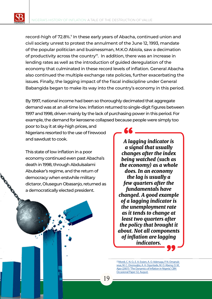record-high of 72.8%.7 In these early years of Abacha, continued union and civil society unrest to protest the annulment of the June 12, 1993, mandate of the popular politician and businessman, M.K.O Abiola, saw a decimation of productivity across the country<sup>17</sup>. In addition, there was an increase in lending rates as well as the introduction of guided deregulation of the economy that culminated in these record levels of inflation. General Abacha also continued the multiple exchange rate policies, further exacerbating the issues. Finally, the lagging impact of the fiscal indiscipline under General Babangida began to make its way into the country's economy in this period.

By 1997, national income had been so thoroughly decimated that aggregate demand was at an all-time low. Inflation returned to single-digit figures between 1997 and 1998, driven mainly by the lack of purchasing power in this period. For example, the demand for kerosene collapsed because people were simply too

poor to buy it at sky-high prices, and Nigerians resorted to the use of firewood and sawdust to cook.

This state of low inflation in a poor economy continued even past Abacha's death in 1998, through Abdulsalami Abubakar's regime, and the return of democracy when erstwhile military dictaror, Olusegun Obasanjo, returned as a democratically elected president.

*A lagging indicator is a signal that usually changes after the index being watched (such as the economy) as a whole does. In an economy the lag is usually a few quarters after the fundamentals have changed. A good example of a lagging indicator is the unemployment rate as it tends to change at least two quarters after the policy that brought it about. Not all components of inflation are lagging indicators.*

17.Mordi, C. N. O., E. A. Essien, A. O. Adenuga, P. N. Omanukwue, M. C. Ononugbo, A. A. Oguntade, M. O. Abeng, O. M. Ajao (2007): "The Dynamics of Inflation in Nigeria", CBN Occasional Paper 32, August.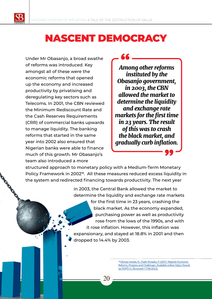

Under Mr Obasanjo, a broad swathe of reforms was introduced. Key amongst all of these were the economic reforms that opened up the economy and increased productivity by privatising and deregulating key sectors such as Telecoms. In 2001, the CBN reviewed the Minimum Rediscount Rate and the Cash Reserves Requirements (CRR) of commercial banks upwards to manage liquidity. The banking reforms that started in the same year into 2002 also ensured that Nigerian banks were able to finance much of this growth. Mr Obasanjo's team also introduced a more

*Among other reforms instituted by the Obasanjo government, in 2003, the CBN allowed the market to determine the liquidity and exchange rate markets for the first time in 23 years. The result of this was to crash the black market, and gradually curb inflation.*

structured approach to monetary policy with a Medium-Term Monetary Policy Framework in 2002<sup>18</sup>. All these measures reduced excess liquidity in the system and redirected financing towards productivity. The next year

> in 2003, the Central Bank allowed the market to determine the liquidity and exchange rate markets for the first time in 23 years, crashing the black market. As the economy expanded, purchasing power as well as productivity rose from the lows of the 1990s, and with it rose inflation. However, this inflation was expansionary, and stayed at 18.8% in 2001 and then dropped to 14.4% by 2003.

> > 18 Okonjo-Iweala, N., Osafo-Kwaako, P. (2007). Nigeria's Economic Reforms, Progress and Challenges. Available online: https://brook. gs/3O0Ts12. [Accessed 17/06/2022].

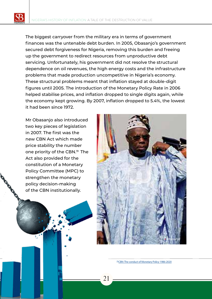The biggest carryover from the military era in terms of government finances was the untenable debt burden. In 2005, Obasanjo's government secured debt forgiveness for Nigeria, removing this burden and freeing up the government to redirect resources from unproductive debt servicing. Unfortunately, his government did not resolve the structural dependence on oil revenues, the high energy costs and the infrastructure problems that made production uncompetitive in Nigeria's economy. These structural problems meant that inflation stayed at double-digit figures until 2005. The introduction of the Monetary Policy Rate in 2006 helped stabilise prices, and inflation dropped to single digits again, while the economy kept growing. By 2007, inflation dropped to 5.4%, the lowest it had been since 1972.

21

Mr Obasanjo also introduced two key pieces of legislation in 2007. The first was the new CBN Act which made price stability the number one priority of the CBN.<sup>19</sup> The Act also provided for the constitution of a Monetary Policy Committee (MPC) to strengthen the monetary policy decision-making of the CBN institutionally.



19.CBN: The conduct of Monetary Policy 1986-2020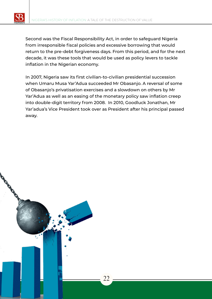

Second was the Fiscal Responsibility Act, in order to safeguard Nigeria from irresponsible fiscal policies and excessive borrowing that would return to the pre-debt forgiveness days. From this period, and for the next decade, it was these tools that would be used as policy levers to tackle inflation in the Nigerian economy.

In 2007, Nigeria saw its first civilian-to-civilian presidential succession when Umaru Musa Yar'Adua succeeded Mr Obasanjo. A reversal of some of Obasanjo's privatisation exercises and a slowdown on others by Mr Yar'Adua as well as an easing of the monetary policy saw inflation creep into double-digit territory from 2008. In 2010, Goodluck Jonathan, Mr Yar'adua's Vice President took over as President after his principal passed away.

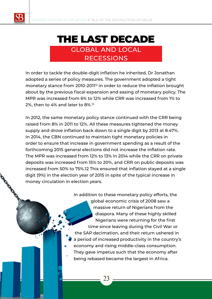

#### THE LAST DECADE GLOBAL AND LOCAL RECESSIONS

In order to tackle the double-digit inflation he inherited, Dr Jonathan adopted a series of policy measures. The government adopted a tight monetary stance from 2010-2011<sup>12</sup> in order to reduce the inflation brought about by the previous fiscal expansion and easing of monetary policy. The MPR was increased from 6% to 12% while CRR was increased from 1% to 2%, then to 4% and later to 8%.12

In 2012, the same monetary policy stance continued with the CRR being raised from 8% in 2011 to 12%. All these measures tightened the money supply and drove inflation back down to a single digit by 2013 at 8.47%. In 2014, the CBN continued to maintain tight monetary policies in order to ensure that increase in government spending as a result of the forthcoming 2015 general elections did not increase the inflation rate. The MPR was increased from 12% to 13% in 2014 while the CRR on private deposits was increased from 15% to 20%, and CRR on public deposits was increased from 50% to 75%.12 This ensured that inflation stayed at a single digit (9%) in the election year of 2015 in spite of the typical increase in money circulation in election years.

> In addition to these monetary policy efforts, the global economic crisis of 2008 saw a massive return of Nigerians from the diaspora. Many of these highly skilled Nigerians were returning for the first time since leaving during the Civil War or the SAP decimation, and their return ushered in a period of increased productivity in the country's economy and rising middle-class consumption. They gave impetus such that the economy after being rebased became the largest in Africa.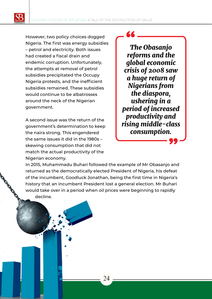However, two policy choices dogged Nigeria. The first was energy subsidies – petrol and electricity. Both issues had created a fiscal drain and endemic corruption. Unfortunately, the attempts at removal of petrol subsidies precipitated the Occupy Nigeria protests, and the inefficient subsidies remained. These subsidies would continue to be albatrosses around the neck of the Nigerian government.

A second issue was the return of the government's determination to keep the naira strong. This engendered the same issues it did in the 1980s – skewing consumption that did not match the actual productivity of the Nigerian economy.

# *The Obasanjo*

*reforms and the global economic crisis of 2008 saw a huge return of Nigerians from the diaspora, ushering in a period of increased productivity and rising middle-class consumption.*

In 2015, Muhammadu Buhari followed the example of Mr Obasanjo and returned as the democratically elected President of Nigeria, his defeat of the incumbent, Goodluck Jonathan, being the first time in Nigeria's history that an incumbent President lost a general election. Mr Buhari would take over in a period when oil prices were beginning to rapidly decline.

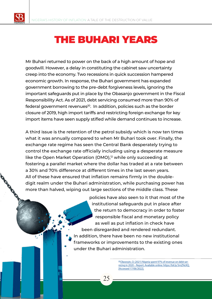## THE BUHARI YEARS

Mr Buhari returned to power on the back of a high amount of hope and goodwill. However, a delay in constituting the cabinet saw uncertainty creep into the economy. Two recessions in quick succession hampered economic growth. In response, the Buhari government has expanded government borrowing to the pre-debt forgiveness levels, ignoring the important safeguards put in place by the Obasanjo government in the Fiscal Responsibility Act. As of 2021, debt servicing consumed more than 90% of federal government revenues<sup>20</sup>. In addition, policies such as the border closure of 2019, high import tariffs and restricting foreign exchange for key import items have seen supply stifled while demand continues to increase.

A third issue is the retention of the petrol subsidy which is now ten times what it was annually compared to when Mr Buhari took over. Finally, the exchange rate regime has seen the Central Bank desperately trying to control the exchange rate officially including using a desperate measure like the Open Market Operation (OMO),<sup>12</sup> while only succeeding at fostering a parallel market where the dollar has traded at a rate between a 30% and 70% difference at different times in the last seven years. All of these have ensured that inflation remains firmly in the doubledigit realm under the Buhari administration, while purchasing power has more than halved, wiping out large sections of the middle class. These

> policies have also seen to it that most of the institutional safeguards put in place after the return to democracy in order to foster responsible fiscal and monetary policy as well as put inflation in check have been disregarded and rendered redundant. In addition, there have been no new institutional frameworks or improvements to the existing ones under the Buhari administration.

> > 20. Olawoyin, O. (2021) Nigeria spent 97% of revenue on debt servicing in 2020 – Report. Available online: https://bit.ly/3mZNcKQ. [Accessed 17/06/2022].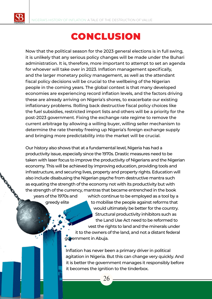# CONCLUSION

Now that the political season for the 2023 general elections is in full swing, it is unlikely that any serious policy changes will be made under the Buhari administration. It is, therefore, more important to attempt to set an agenda for whoever will take over in 2023. Inflation management specifically, and the larger monetary policy management, as well as the attendant fiscal policy decisions will be crucial to the wellbeing of the Nigerian people in the coming years. The global context is that many developed economies are experiencing record inflation levels, and the factors driving these are already arriving on Nigeria's shores, to exacerbate our existing inflationary problems. Rolling back destructive fiscal policy choices like the fuel subsidies, restricted import lists and others will be a priority for the post-2023 government. Fixing the exchange rate regime to remove the current arbitrage by allowing a willing buyer, willing seller mechanism to determine the rate thereby freeing up Nigeria's foreign exchange supply and bringing more predictability into the market will be crucial.

Our history also shows that at a fundamental level, Nigeria has had a productivity issue, especially since the 1970s. Drastic measures need to be taken with laser focus to improve the productivity of Nigerians and the Nigerian economy. This will be achieved by improving education, providing tools and infrastructure, and securing lives, property and property rights. Education will also include disabusing the Nigerian psyche from destructive mantra such as equating the strength of the economy not with its productivity but with the strength of the currency, mantras that became entrenched in the book years of the 1970s and which continue to be employed as a tool by a greedy elite to mobilise the people against reforms that

would ultimately be better for the country. Structural productivity inhibitors such as the Land Use Act need to be reformed to vest the rights to land and the minerals under it to the owners of the land, and not a distant federal government in Abuja.

Inflation has never been a primary driver in political agitation in Nigeria. But this can change very quickly. And it is better the government manages it responsibly before it becomes the ignition to the tinderbox.